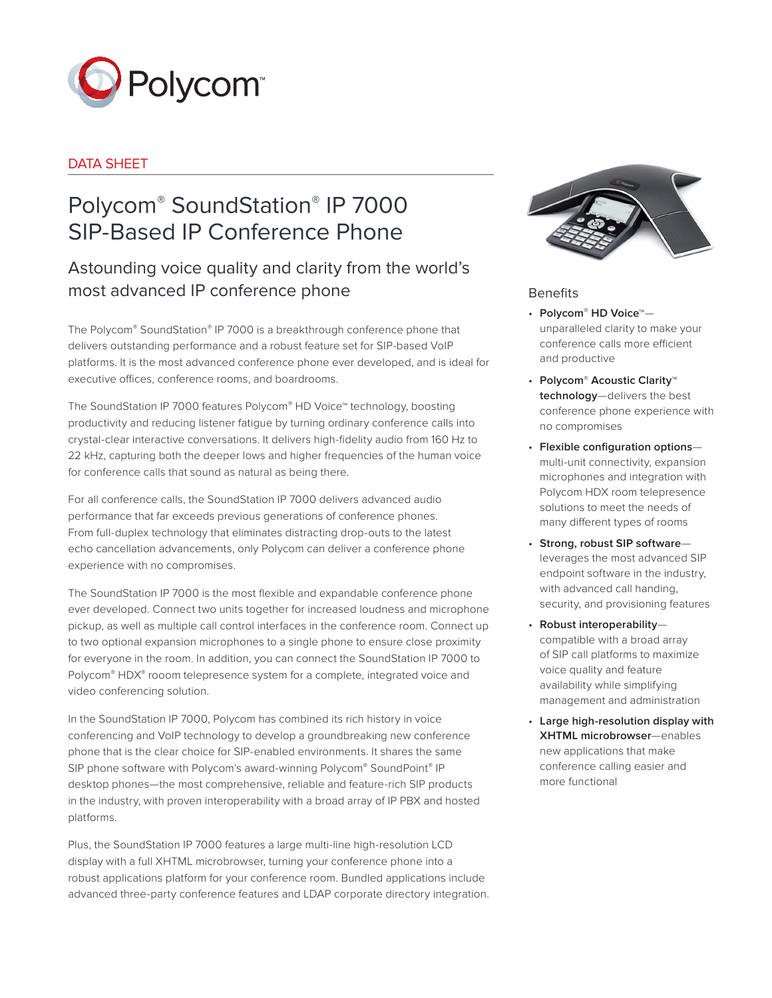

## DATA SHEET

# Polycom® SoundStation® IP 7000 SIP-Based IP Conference Phone

## Astounding voice quality and clarity from the world's most advanced IP conference phone

The Polycom® SoundStation® IP 7000 is a breakthrough conference phone that delivers outstanding performance and a robust feature set for SIP-based VoIP platforms. It is the most advanced conference phone ever developed, and is ideal for executive offices, conference rooms, and boardrooms.

The SoundStation IP 7000 features Polycom® HD Voice™ technology, boosting productivity and reducing listener fatigue by turning ordinary conference calls into crystal-clear interactive conversations. It delivers high-fidelity audio from 160 Hz to 22 kHz, capturing both the deeper lows and higher frequencies of the human voice for conference calls that sound as natural as being there.

For all conference calls, the SoundStation IP 7000 delivers advanced audio performance that far exceeds previous generations of conference phones. From full-duplex technology that eliminates distracting drop-outs to the latest echo cancellation advancements, only Polycom can deliver a conference phone experience with no compromises.

The SoundStation IP 7000 is the most flexible and expandable conference phone ever developed. Connect two units together for increased loudness and microphone pickup, as well as multiple call control interfaces in the conference room. Connect up to two optional expansion microphones to a single phone to ensure close proximity for everyone in the room. In addition, you can connect the SoundStation IP 7000 to Polycom® HDX® rooom telepresence system for a complete, integrated voice and video conferencing solution.

In the SoundStation IP 7000, Polycom has combined its rich history in voice conferencing and VoIP technology to develop a groundbreaking new conference phone that is the clear choice for SIP-enabled environments. It shares the same SIP phone software with Polycom's award-winning Polycom® SoundPoint® IP desktop phones—the most comprehensive, reliable and feature-rich SIP products in the industry, with proven interoperability with a broad array of IP PBX and hosted platforms.

Plus, the SoundStation IP 7000 features a large multi-line high-resolution LCD display with a full XHTML microbrowser, turning your conference phone into a robust applications platform for your conference room. Bundled applications include advanced three-party conference features and LDAP corporate directory integration.



## **Benefits**

- • **Polycom**® **HD Voice**™ unparalleled clarity to make your conference calls more efficient and productive
- • **Polycom**® **Acoustic Clarity**™ **technology**—delivers the best conference phone experience with no compromises
- • **Flexible configuration options** multi-unit connectivity, expansion microphones and integration with Polycom HDX room telepresence solutions to meet the needs of many different types of rooms
- • **Strong, robust SIP software** leverages the most advanced SIP endpoint software in the industry, with advanced call handing, security, and provisioning features
- • **Robust interoperability** compatible with a broad array of SIP call platforms to maximize voice quality and feature availability while simplifying management and administration
- • **Large high-resolution display with XHTML microbrowser**—enables new applications that make conference calling easier and more functional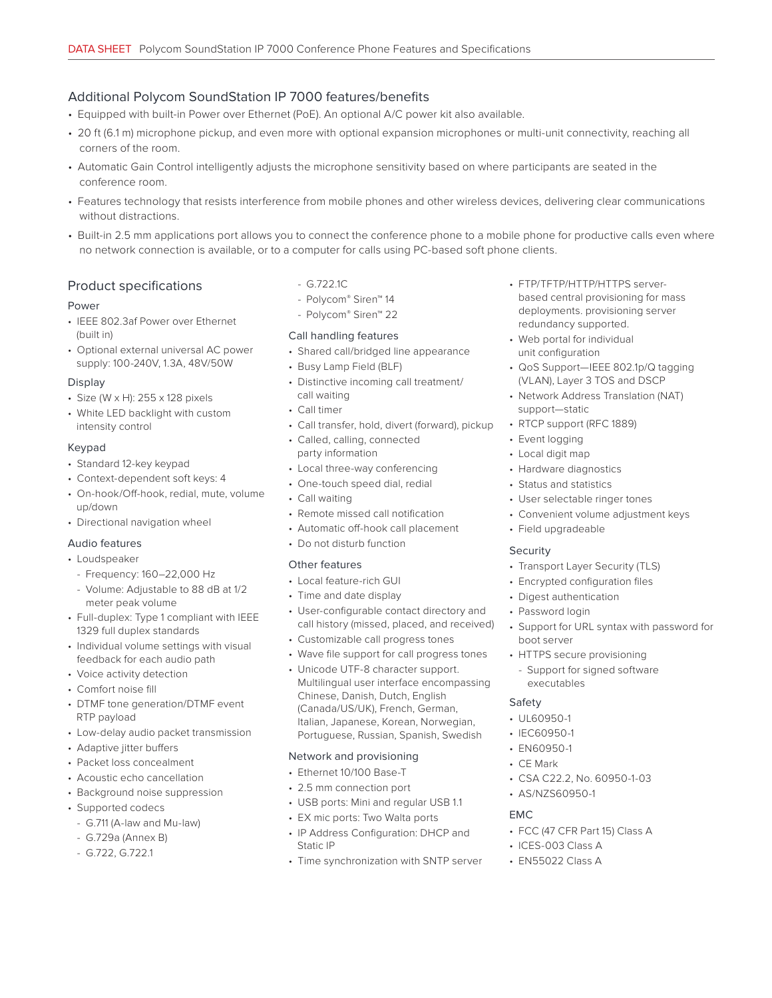## Additional Polycom SoundStation IP 7000 features/benefits

- Equipped with built-in Power over Ethernet (PoE). An optional A/C power kit also available.
- 20 ft (6.1 m) microphone pickup, and even more with optional expansion microphones or multi-unit connectivity, reaching all corners of the room.
- Automatic Gain Control intelligently adjusts the microphone sensitivity based on where participants are seated in the conference room.
- Features technology that resists interference from mobile phones and other wireless devices, delivering clear communications without distractions.
- Built-in 2.5 mm applications port allows you to connect the conference phone to a mobile phone for productive calls even where no network connection is available, or to a computer for calls using PC-based soft phone clients.

## Product specifications

#### Power

- IEEE 802.3af Power over Ethernet (built in)
- Optional external universal AC power supply: 100-240V, 1.3A, 48V/50W

#### Display

- Size (W x H): 255 x 128 pixels
- White LED backlight with custom intensity control

#### Keypad

- Standard 12-key keypad
- Context-dependent soft keys: 4
- On-hook/Off-hook, redial, mute, volume up/down
- Directional navigation wheel

## Audio features

#### • Loudspeaker

- Frequency: 160–22,000 Hz
- Volume: Adjustable to 88 dB at 1/2 meter peak volume
- Full-duplex: Type 1 compliant with IEEE 1329 full duplex standards
- Individual volume settings with visual feedback for each audio path
- Voice activity detection
- Comfort noise fill
- DTMF tone generation/DTMF event RTP payload
- Low-delay audio packet transmission
- Adaptive jitter buffers
- Packet loss concealment
- Acoustic echo cancellation
- Background noise suppression
- Supported codecs
	- G.711 (A-law and Mu-law)
	- G.729a (Annex B)
- G.722, G.722.1
- G.722.1C
- Polycom® Siren™ 14
- Polycom® Siren™ 22

#### Call handling features

- Shared call/bridged line appearance
- Busy Lamp Field (BLF)
- Distinctive incoming call treatment/ call waiting
- Call timer
- Call transfer, hold, divert (forward), pickup
- Called, calling, connected party information
- Local three-way conferencing
- One-touch speed dial, redial
- Call waiting
- Remote missed call notification
- Automatic off-hook call placement
- Do not disturb function

#### Other features

- Local feature-rich GUI
- Time and date display
- User-configurable contact directory and call history (missed, placed, and received)
- Customizable call progress tones
- Wave file support for call progress tones
- Unicode UTF-8 character support. Multilingual user interface encompassing Chinese, Danish, Dutch, English (Canada/US/UK), French, German, Italian, Japanese, Korean, Norwegian, Portuguese, Russian, Spanish, Swedish

#### Network and provisioning

- Ethernet 10/100 Base-T
- 2.5 mm connection port
- USB ports: Mini and regular USB 1.1
- EX mic ports: Two Walta ports
- IP Address Configuration: DHCP and Static IP
- Time synchronization with SNTP server
- FTP/TFTP/HTTP/HTTPS serverbased central provisioning for mass deployments. provisioning server redundancy supported.
- Web portal for individual unit configuration
- QoS Support—IEEE 802.1p/Q tagging (VLAN), Layer 3 TOS and DSCP
- Network Address Translation (NAT) support—static
- RTCP support (RFC 1889)
- Event logging
- Local digit map
- Hardware diagnostics
- Status and statistics
- User selectable ringer tones
- Convenient volume adjustment keys
- Field upgradeable

#### Security

- Transport Layer Security (TLS)
- Encrypted configuration files
- Digest authentication
- Password login
- Support for URL syntax with password for boot server
- HTTPS secure provisioning
	- Support for signed software executables

#### Safety

- UL60950-1
- IEC60950-1
- EN60950-1
- CE Mark
- CSA C22.2, No. 60950-1-03
- AS/NZS60950-1

#### EMC

- FCC (47 CFR Part 15) Class A
- ICES-003 Class A
- EN55022 Class A